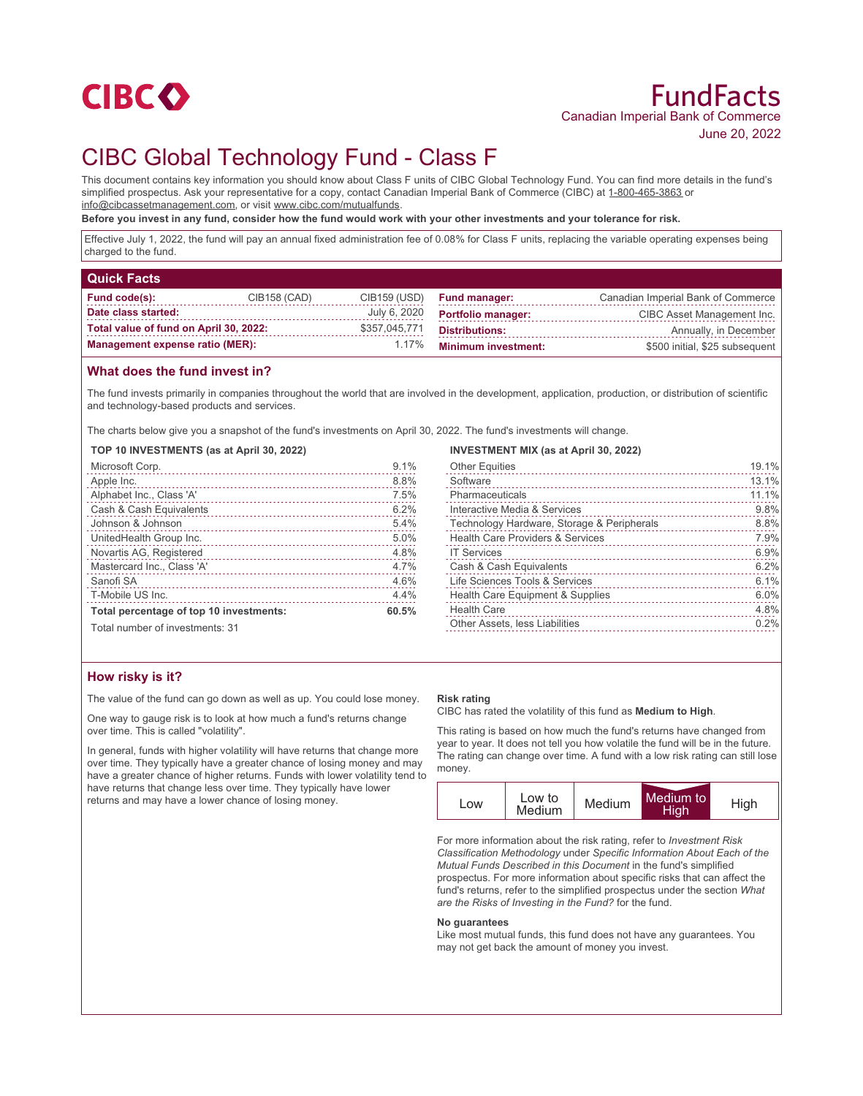

# CIBC Global Technology Fund - Class F

This document contains key information you should know about Class F units of CIBC Global Technology Fund. You can find more details in the fund's simplified prospectus. Ask your representative for a copy, contact Canadian Imperial Bank of Commerce (CIBC) at 1-800-465-3863 or info@cibcassetmanagement.com, or visit www.cibc.com/mutualfunds.

**Before you invest in any fund, consider how the fund would work with your other investments and your tolerance for risk.**

Effective July 1, 2022, the fund will pay an annual fixed administration fee of 0.08% for Class F units, replacing the variable operating expenses being charged to the fund.

| <b>Quick Facts</b>                     |              |               |                            |                                    |
|----------------------------------------|--------------|---------------|----------------------------|------------------------------------|
| Fund code(s):                          | CIB158 (CAD) | CIB159 (USD)  | <b>Fund manager:</b>       | Canadian Imperial Bank of Commerce |
| Date class started:                    |              | July 6, 2020  | <b>Portfolio manager:</b>  | CIBC Asset Management Inc.         |
| Total value of fund on April 30, 2022: |              | \$357,045,771 | <b>Distributions:</b>      | Annually, in December              |
| <b>Management expense ratio (MER):</b> |              | 1.17%         | <b>Minimum investment:</b> | \$500 initial, \$25 subsequent     |

## **What does the fund invest in?**

The fund invests primarily in companies throughout the world that are involved in the development, application, production, or distribution of scientific and technology-based products and services.

The charts below give you a snapshot of the fund's investments on April 30, 2022. The fund's investments will change.

**TOP 10 INVESTMENTS (as at April 30, 2022)**

| Microsoft Corp.                         | 9.1%  |
|-----------------------------------------|-------|
| Apple Inc.                              | 8.8%  |
| Alphabet Inc., Class 'A'                | 7.5%  |
| Cash & Cash Equivalents                 | 6.2%  |
| Johnson & Johnson                       | 5.4%  |
| UnitedHealth Group Inc.                 | 5.0%  |
| Novartis AG, Registered                 | 4.8%  |
| Mastercard Inc., Class 'A'              | 4.7%  |
| Sanofi SA                               | 4.6%  |
| T-Mobile US Inc.                        | 4.4%  |
| Total percentage of top 10 investments: | 60.5% |
| Total number of investments: 31         |       |

#### **INVESTMENT MIX (as at April 30, 2022)**

| <b>Other Equities</b>                       | 19.1%     |
|---------------------------------------------|-----------|
| Software                                    | 13.1%     |
| Pharmaceuticals                             | 11.1%     |
| Interactive Media & Services                | 9.8%      |
| Technology Hardware, Storage & Peripherals  | 8.8%<br>. |
| <b>Health Care Providers &amp; Services</b> | 7.9%      |
| <b>IT Services</b>                          | 6.9%      |
| Cash & Cash Equivalents                     | 6.2%      |
| Life Sciences Tools & Services              | 6.1%      |
| Health Care Equipment & Supplies            | 6.0%      |
| <b>Health Care</b>                          | 4.8%      |
| Other Assets, less Liabilities              | 0.2%      |
|                                             |           |

### **How risky is it?**

The value of the fund can go down as well as up. You could lose money.

One way to gauge risk is to look at how much a fund's returns change over time. This is called "volatility".

In general, funds with higher volatility will have returns that change more over time. They typically have a greater chance of losing money and may have a greater chance of higher returns. Funds with lower volatility tend to have returns that change less over time. They typically have lower returns and may have a lower chance of losing money.

#### **Risk rating**

CIBC has rated the volatility of this fund as **Medium to High**.

This rating is based on how much the fund's returns have changed from year to year. It does not tell you how volatile the fund will be in the future. The rating can change over time. A fund with a low risk rating can still lose money.



For more information about the risk rating, refer to *Investment Risk Classification Methodology* under *Specific Information About Each of the Mutual Funds Described in this Document* in the fund's simplified prospectus. For more information about specific risks that can affect the fund's returns, refer to the simplified prospectus under the section *What are the Risks of Investing in the Fund?* for the fund.

#### **No guarantees**

Like most mutual funds, this fund does not have any guarantees. You may not get back the amount of money you invest.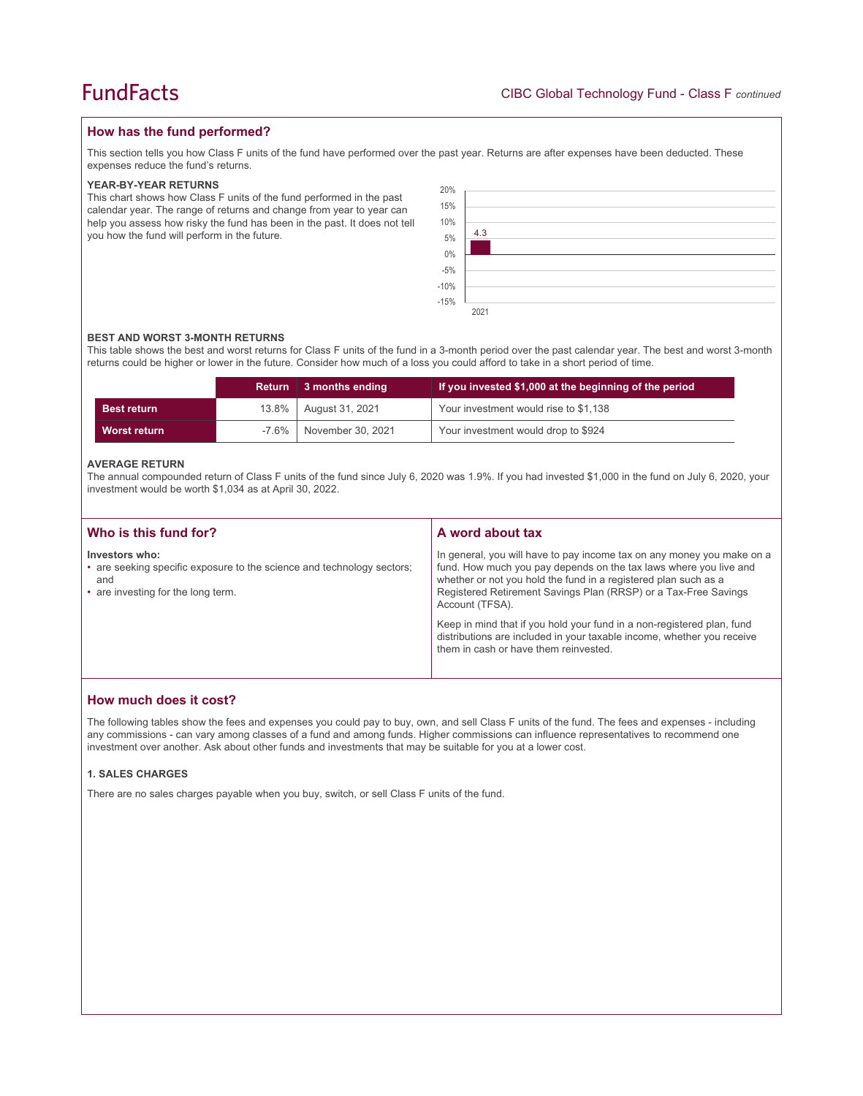## **How has the fund performed?**

This section tells you how Class F units of the fund have performed over the past year. Returns are after expenses have been deducted. These expenses reduce the fund's returns.

#### **YEAR-BY-YEAR RETURNS**

This chart shows how Class F units of the fund performed in the past calendar year. The range of returns and change from year to year can help you assess how risky the fund has been in the past. It does not tell you how the fund will perform in the future.

| 20%                  |      |
|----------------------|------|
| 15%                  |      |
| 10%<br>5%            |      |
|                      | 4.3  |
|                      |      |
| $0\%$<br>-5%<br>-10% |      |
|                      |      |
|                      |      |
| $-15%$               |      |
|                      | 2021 |

#### **BEST AND WORST 3-MONTH RETURNS**

This table shows the best and worst returns for Class F units of the fund in a 3-month period over the past calendar year. The best and worst 3-month returns could be higher or lower in the future. Consider how much of a loss you could afford to take in a short period of time.

|                    | <b>Return</b> | 3 months ending   | If you invested \$1,000 at the beginning of the period |
|--------------------|---------------|-------------------|--------------------------------------------------------|
| <b>Best return</b> | $13.8\%$      | August 31, 2021   | Your investment would rise to \$1,138                  |
| Worst return       | -7.6%         | November 30, 2021 | Your investment would drop to \$924                    |

#### **AVERAGE RETURN**

The annual compounded return of Class F units of the fund since July 6, 2020 was 1.9%. If you had invested \$1,000 in the fund on July 6, 2020, your investment would be worth \$1,034 as at April 30, 2022.

| Who is this fund for?                                                                                                                 | A word about tax                                                                                                                                                                                                                                                                                     |
|---------------------------------------------------------------------------------------------------------------------------------------|------------------------------------------------------------------------------------------------------------------------------------------------------------------------------------------------------------------------------------------------------------------------------------------------------|
| Investors who:<br>• are seeking specific exposure to the science and technology sectors;<br>and<br>• are investing for the long term. | In general, you will have to pay income tax on any money you make on a<br>fund. How much you pay depends on the tax laws where you live and<br>whether or not you hold the fund in a registered plan such as a<br>Registered Retirement Savings Plan (RRSP) or a Tax-Free Savings<br>Account (TFSA). |
|                                                                                                                                       | Keep in mind that if you hold your fund in a non-registered plan, fund<br>distributions are included in your taxable income, whether you receive<br>them in cash or have them reinvested.                                                                                                            |

## **How much does it cost?**

The following tables show the fees and expenses you could pay to buy, own, and sell Class F units of the fund. The fees and expenses - including any commissions - can vary among classes of a fund and among funds. Higher commissions can influence representatives to recommend one investment over another. Ask about other funds and investments that may be suitable for you at a lower cost.

#### **1. SALES CHARGES**

There are no sales charges payable when you buy, switch, or sell Class F units of the fund.